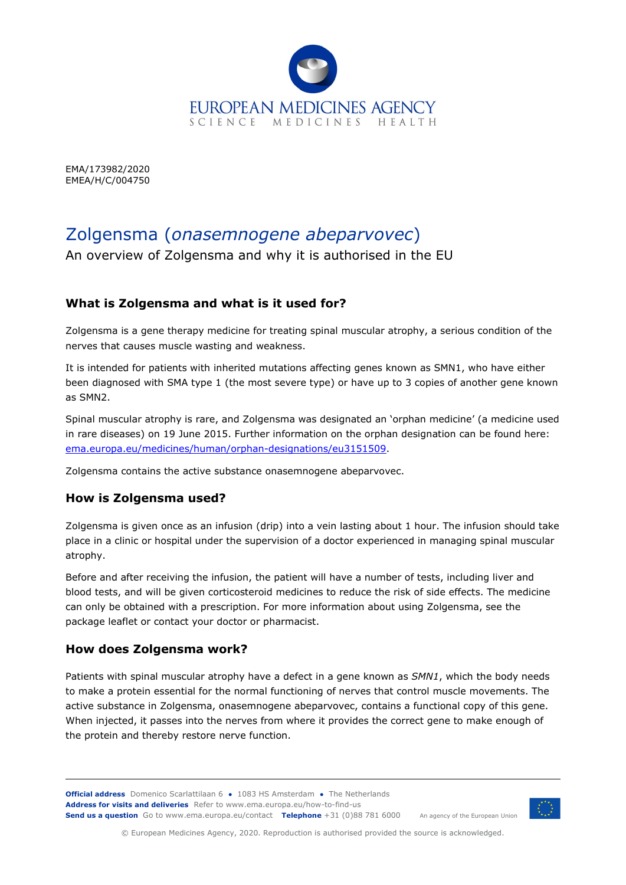

EMA/173982/2020 EMEA/H/C/004750

# Zolgensma (*onasemnogene abeparvovec*)

An overview of Zolgensma and why it is authorised in the EU

## **What is Zolgensma and what is it used for?**

Zolgensma is a gene therapy medicine for treating spinal muscular atrophy, a serious condition of the nerves that causes muscle wasting and weakness.

It is intended for patients with inherited mutations affecting genes known as SMN1, who have either been diagnosed with SMA type 1 (the most severe type) or have up to 3 copies of another gene known as SMN2.

Spinal muscular atrophy is rare, and Zolgensma was designated an 'orphan medicine' (a medicine used in rare diseases) on 19 June 2015. Further information on the orphan designation can be found here: [ema.europa.eu/medicines/human/orphan-designations/eu3151509.](https://www.ema.europa.eu/en/medicines/human/orphan-designations/eu3151509)

Zolgensma contains the active substance onasemnogene abeparvovec.

#### **How is Zolgensma used?**

Zolgensma is given once as an infusion (drip) into a vein lasting about 1 hour. The infusion should take place in a clinic or hospital under the supervision of a doctor experienced in managing spinal muscular atrophy.

Before and after receiving the infusion, the patient will have a number of tests, including liver and blood tests, and will be given corticosteroid medicines to reduce the risk of side effects. The medicine can only be obtained with a prescription. For more information about using Zolgensma, see the package leaflet or contact your doctor or pharmacist.

## **How does Zolgensma work?**

Patients with spinal muscular atrophy have a defect in a gene known as *SMN1*, which the body needs to make a protein essential for the normal functioning of nerves that control muscle movements. The active substance in Zolgensma, onasemnogene abeparvovec, contains a functional copy of this gene. When injected, it passes into the nerves from where it provides the correct gene to make enough of the protein and thereby restore nerve function.

**Official address** Domenico Scarlattilaan 6 **●** 1083 HS Amsterdam **●** The Netherlands An agency of the European Union **Address for visits and deliveries** Refer to [www.ema.europa.eu/how-to-find-us](http://www.ema.europa.eu/how-to-find-us) **Send us a question** Go t[o www.ema.europa.eu/contact](http://www.ema.europa.eu/contact) **Telephone** +31 (0)88 781 6000



© European Medicines Agency, 2020. Reproduction is authorised provided the source is acknowledged.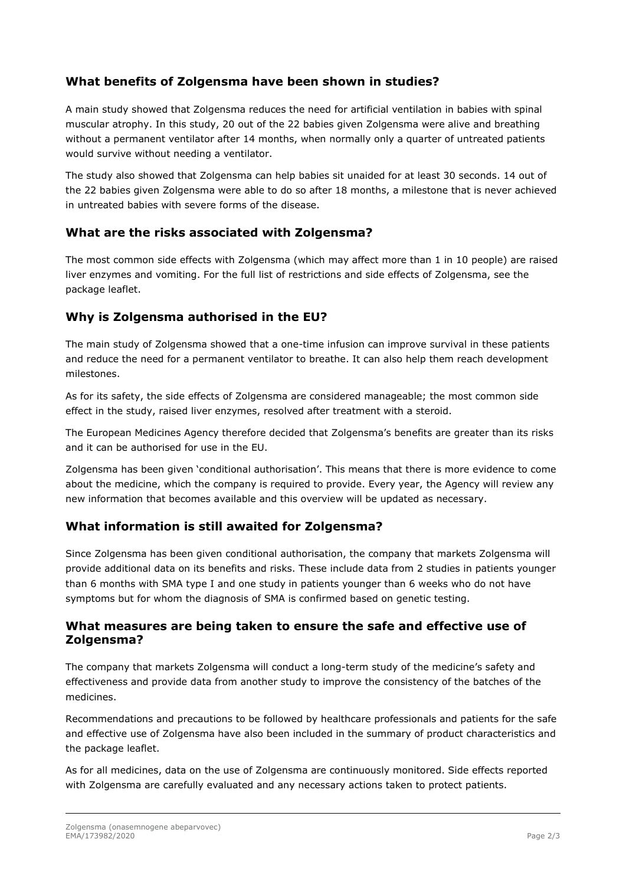## **What benefits of Zolgensma have been shown in studies?**

A main study showed that Zolgensma reduces the need for artificial ventilation in babies with spinal muscular atrophy. In this study, 20 out of the 22 babies given Zolgensma were alive and breathing without a permanent ventilator after 14 months, when normally only a quarter of untreated patients would survive without needing a ventilator.

The study also showed that Zolgensma can help babies sit unaided for at least 30 seconds. 14 out of the 22 babies given Zolgensma were able to do so after 18 months, a milestone that is never achieved in untreated babies with severe forms of the disease.

## **What are the risks associated with Zolgensma?**

The most common side effects with Zolgensma (which may affect more than 1 in 10 people) are raised liver enzymes and vomiting. For the full list of restrictions and side effects of Zolgensma, see the package leaflet.

## **Why is Zolgensma authorised in the EU?**

The main study of Zolgensma showed that a one-time infusion can improve survival in these patients and reduce the need for a permanent ventilator to breathe. It can also help them reach development milestones.

As for its safety, the side effects of Zolgensma are considered manageable; the most common side effect in the study, raised liver enzymes, resolved after treatment with a steroid.

The European Medicines Agency therefore decided that Zolgensma's benefits are greater than its risks and it can be authorised for use in the EU.

Zolgensma has been given 'conditional authorisation'. This means that there is more evidence to come about the medicine, which the company is required to provide. Every year, the Agency will review any new information that becomes available and this overview will be updated as necessary.

## **What information is still awaited for Zolgensma?**

Since Zolgensma has been given conditional authorisation, the company that markets Zolgensma will provide additional data on its benefits and risks. These include data from 2 studies in patients younger than 6 months with SMA type I and one study in patients younger than 6 weeks who do not have symptoms but for whom the diagnosis of SMA is confirmed based on genetic testing.

#### **What measures are being taken to ensure the safe and effective use of Zolgensma?**

The company that markets Zolgensma will conduct a long-term study of the medicine's safety and effectiveness and provide data from another study to improve the consistency of the batches of the medicines.

Recommendations and precautions to be followed by healthcare professionals and patients for the safe and effective use of Zolgensma have also been included in the summary of product characteristics and the package leaflet.

As for all medicines, data on the use of Zolgensma are continuously monitored. Side effects reported with Zolgensma are carefully evaluated and any necessary actions taken to protect patients.